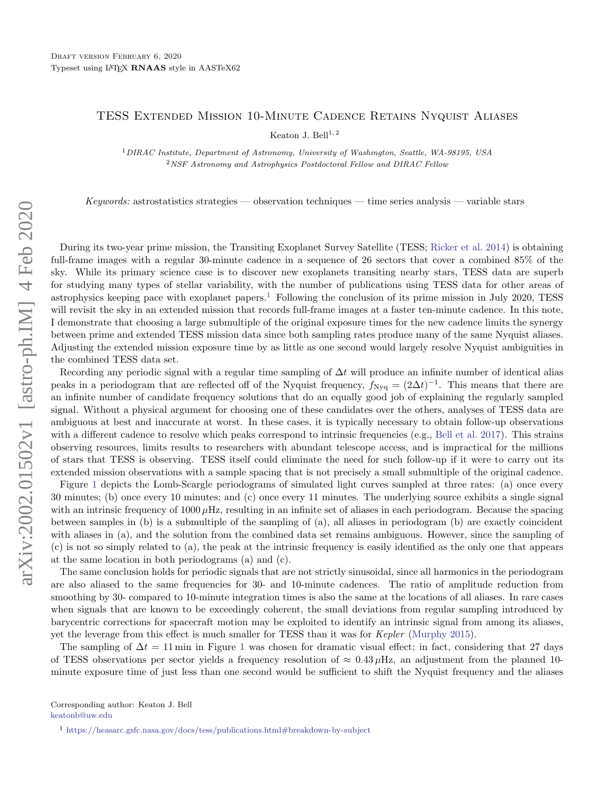## TESS Extended Mission 10-Minute Cadence Retains Nyquist Aliases

Keaton J. Bell $^{1, 2}$ 

<sup>1</sup>DIRAC Institute, Department of Astronomy, University of Washington, Seattle, WA-98195, USA <sup>2</sup>NSF Astronomy and Astrophysics Postdoctoral Fellow and DIRAC Fellow

Keywords: astrostatistics strategies — observation techniques — time series analysis — variable stars

During its two-year prime mission, the Transiting Exoplanet Survey Satellite (TESS; [Ricker et al.](#page-2-0) [2014\)](#page-2-0) is obtaining full-frame images with a regular 30-minute cadence in a sequence of 26 sectors that cover a combined 85% of the sky. While its primary science case is to discover new exoplanets transiting nearby stars, TESS data are superb for studying many types of stellar variability, with the number of publications using TESS data for other areas of astrophysics keeping pace with exoplanet papers.<sup>[1](#page-0-2)</sup> Following the conclusion of its prime mission in July 2020, TESS will revisit the sky in an extended mission that records full-frame images at a faster ten-minute cadence. In this note, I demonstrate that choosing a large submultiple of the original exposure times for the new cadence limits the synergy between prime and extended TESS mission data since both sampling rates produce many of the same Nyquist aliases. Adjusting the extended mission exposure time by as little as one second would largely resolve Nyquist ambiguities in the combined TESS data set.

Recording any periodic signal with a regular time sampling of  $\Delta t$  will produce an infinite number of identical alias peaks in a periodogram that are reflected off of the Nyquist frequency,  $f_{\text{Nyq}} = (2\Delta t)^{-1}$ . This means that there are an infinite number of candidate frequency solutions that do an equally good job of explaining the regularly sampled signal. Without a physical argument for choosing one of these candidates over the others, analyses of TESS data are ambiguous at best and inaccurate at worst. In these cases, it is typically necessary to obtain follow-up observations with a different cadence to resolve which peaks correspond to intrinsic frequencies (e.g., [Bell et al.](#page-2-1) [2017\)](#page-2-1). This strains observing resources, limits results to researchers with abundant telescope access, and is impractical for the millions of stars that TESS is observing. TESS itself could eliminate the need for such follow-up if it were to carry out its extended mission observations with a sample spacing that is not precisely a small submultiple of the original cadence.

Figure [1](#page-1-0) depicts the Lomb-Scargle periodograms of simulated light curves sampled at three rates: (a) once every 30 minutes; (b) once every 10 minutes; and (c) once every 11 minutes. The underlying source exhibits a single signal with an intrinsic frequency of  $1000 \mu$ Hz, resulting in an infinite set of aliases in each periodogram. Because the spacing between samples in (b) is a submultiple of the sampling of (a), all aliases in periodogram (b) are exactly coincident with aliases in (a), and the solution from the combined data set remains ambiguous. However, since the sampling of (c) is not so simply related to (a), the peak at the intrinsic frequency is easily identified as the only one that appears at the same location in both periodograms (a) and (c).

The same conclusion holds for periodic signals that are not strictly sinusoidal, since all harmonics in the periodogram are also aliased to the same frequencies for 30- and 10-minute cadences. The ratio of amplitude reduction from smoothing by 30- compared to 10-minute integration times is also the same at the locations of all aliases. In rare cases when signals that are known to be exceedingly coherent, the small deviations from regular sampling introduced by barycentric corrections for spacecraft motion may be exploited to identify an intrinsic signal from among its aliases, yet the leverage from this effect is much smaller for TESS than it was for Kepler [\(Murphy](#page-2-2) [2015\)](#page-2-2).

The sampling of  $\Delta t = 11$  $\Delta t = 11$  $\Delta t = 11$  min in Figure 1 was chosen for dramatic visual effect; in fact, considering that 27 days of TESS observations per sector yields a frequency resolution of  $\approx 0.43 \mu$ Hz, an adjustment from the planned 10minute exposure time of just less than one second would be sufficient to shift the Nyquist frequency and the aliases

<span id="page-0-1"></span><span id="page-0-0"></span>[keatonb@uw.edu](mailto: keatonb@uw.edu)

<span id="page-0-2"></span><sup>1</sup> <https://heasarc.gsfc.nasa.gov/docs/tess/publications.html#breakdown-by-subject>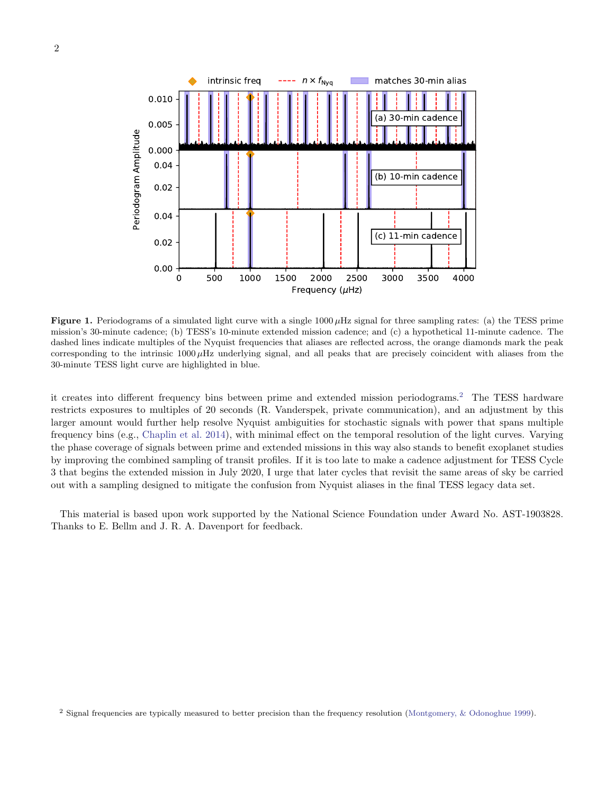

<span id="page-1-0"></span>**Figure 1.** Periodograms of a simulated light curve with a single  $1000 \mu$ Hz signal for three sampling rates: (a) the TESS prime mission's 30-minute cadence; (b) TESS's 10-minute extended mission cadence; and (c) a hypothetical 11-minute cadence. The dashed lines indicate multiples of the Nyquist frequencies that aliases are reflected across, the orange diamonds mark the peak corresponding to the intrinsic  $1000 \mu$ Hz underlying signal, and all peaks that are precisely coincident with aliases from the 30-minute TESS light curve are highlighted in blue.

it creates into different frequency bins between prime and extended mission periodograms.[2](#page-1-1) The TESS hardware restricts exposures to multiples of 20 seconds (R. Vanderspek, private communication), and an adjustment by this larger amount would further help resolve Nyquist ambiguities for stochastic signals with power that spans multiple frequency bins (e.g., [Chaplin et al.](#page-2-3) [2014\)](#page-2-3), with minimal effect on the temporal resolution of the light curves. Varying the phase coverage of signals between prime and extended missions in this way also stands to benefit exoplanet studies by improving the combined sampling of transit profiles. If it is too late to make a cadence adjustment for TESS Cycle 3 that begins the extended mission in July 2020, I urge that later cycles that revisit the same areas of sky be carried out with a sampling designed to mitigate the confusion from Nyquist aliases in the final TESS legacy data set.

This material is based upon work supported by the National Science Foundation under Award No. AST-1903828. Thanks to E. Bellm and J. R. A. Davenport for feedback.

<span id="page-1-1"></span><sup>2</sup> Signal frequencies are typically measured to better precision than the frequency resolution [\(Montgomery, & Odonoghue](#page-2-4) [1999\)](#page-2-4).